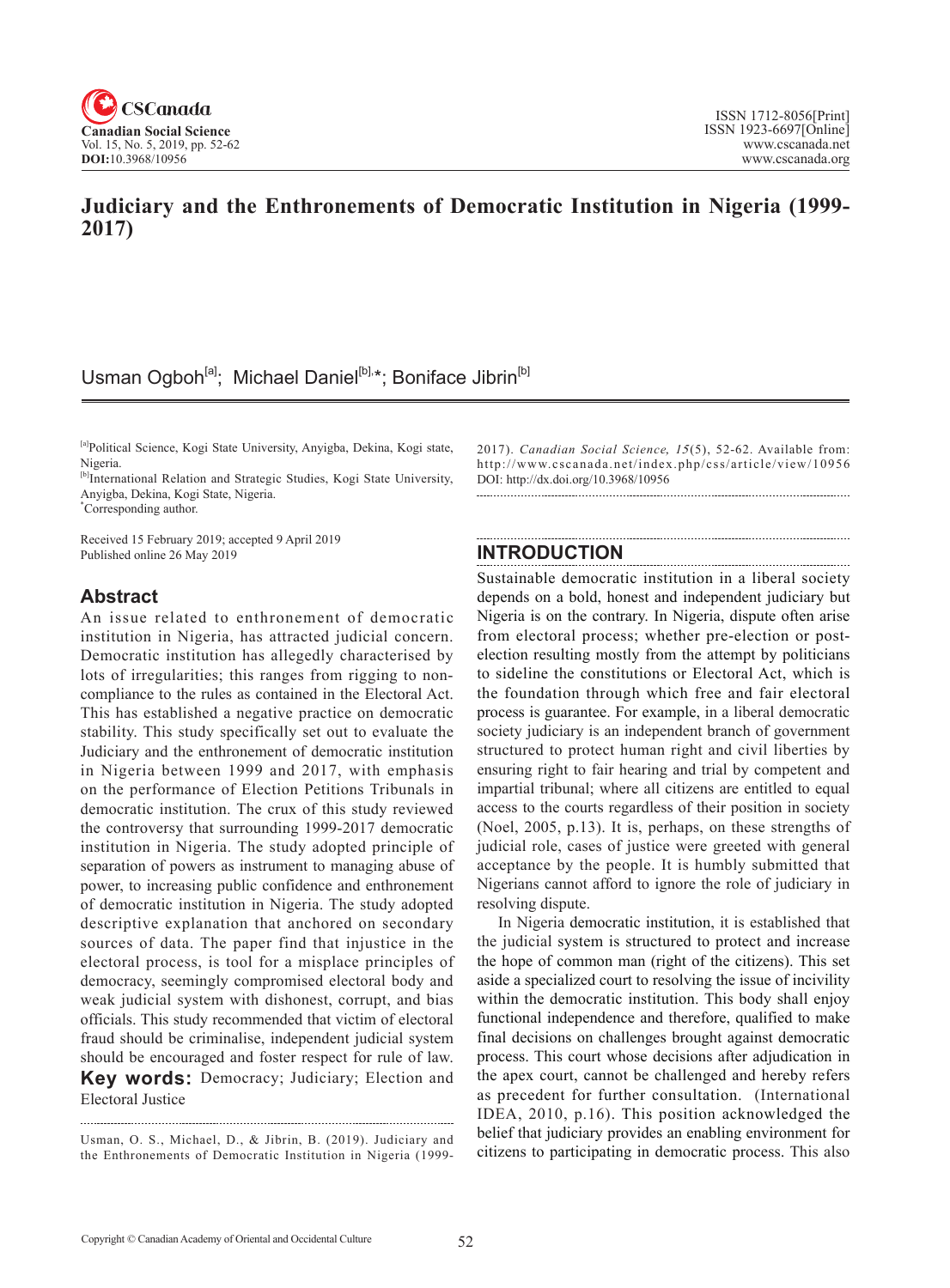

## **Judiciary and the Enthronements of Democratic Institution in Nigeria (1999- 2017)**

# Usman Ogboh<sup>[a]</sup>; Michael Daniel<sup>[b],\*</sup>; Boniface Jibrin<sup>[b]</sup>

[a]Political Science, Kogi State University, Anyigba, Dekina, Kogi state, Nigeria.

[b]International Relation and Strategic Studies, Kogi State University, Anyigba, Dekina, Kogi State, Nigeria.

\* Corresponding author.

Received 15 February 2019; accepted 9 April 2019 Published online 26 May 2019

### **Abstract**

An issue related to enthronement of democratic institution in Nigeria, has attracted judicial concern. Democratic institution has allegedly characterised by lots of irregularities; this ranges from rigging to noncompliance to the rules as contained in the Electoral Act. This has established a negative practice on democratic stability. This study specifically set out to evaluate the Judiciary and the enthronement of democratic institution in Nigeria between 1999 and 2017, with emphasis on the performance of Election Petitions Tribunals in democratic institution. The crux of this study reviewed the controversy that surrounding 1999-2017 democratic institution in Nigeria. The study adopted principle of separation of powers as instrument to managing abuse of power, to increasing public confidence and enthronement of democratic institution in Nigeria. The study adopted descriptive explanation that anchored on secondary sources of data. The paper find that injustice in the electoral process, is tool for a misplace principles of democracy, seemingly compromised electoral body and weak judicial system with dishonest, corrupt, and bias officials. This study recommended that victim of electoral fraud should be criminalise, independent judicial system should be encouraged and foster respect for rule of law. **Key words:** Democracy; Judiciary; Election and Electoral Justice

Usman, O. S., Michael, D., & Jibrin, B. (2019). Judiciary and the Enthronements of Democratic Institution in Nigeria (19992017). *Canadian Social Science*, 15(5), 52-62. Available from: http://www.cscanada.net/index.php/css/article/view/10956 DOI: http://dx.doi.org/10.3968/10956

### **INTRODUCTION**

Sustainable democratic institution in a liberal society depends on a bold, honest and independent judiciary but Nigeria is on the contrary. In Nigeria, dispute often arise from electoral process; whether pre-election or postelection resulting mostly from the attempt by politicians to sideline the constitutions or Electoral Act, which is the foundation through which free and fair electoral process is guarantee. For example, in a liberal democratic society judiciary is an independent branch of government structured to protect human right and civil liberties by ensuring right to fair hearing and trial by competent and impartial tribunal; where all citizens are entitled to equal access to the courts regardless of their position in society (Noel, 2005, p.13). It is, perhaps, on these strengths of judicial role, cases of justice were greeted with general acceptance by the people. It is humbly submitted that Nigerians cannot afford to ignore the role of judiciary in resolving dispute.

In Nigeria democratic institution, it is established that the judicial system is structured to protect and increase the hope of common man (right of the citizens). This set aside a specialized court to resolving the issue of incivility within the democratic institution. This body shall enjoy functional independence and therefore, qualified to make final decisions on challenges brought against democratic process. This court whose decisions after adjudication in the apex court, cannot be challenged and hereby refers as precedent for further consultation. (International IDEA, 2010, p.16). This position acknowledged the belief that judiciary provides an enabling environment for citizens to participating in democratic process. This also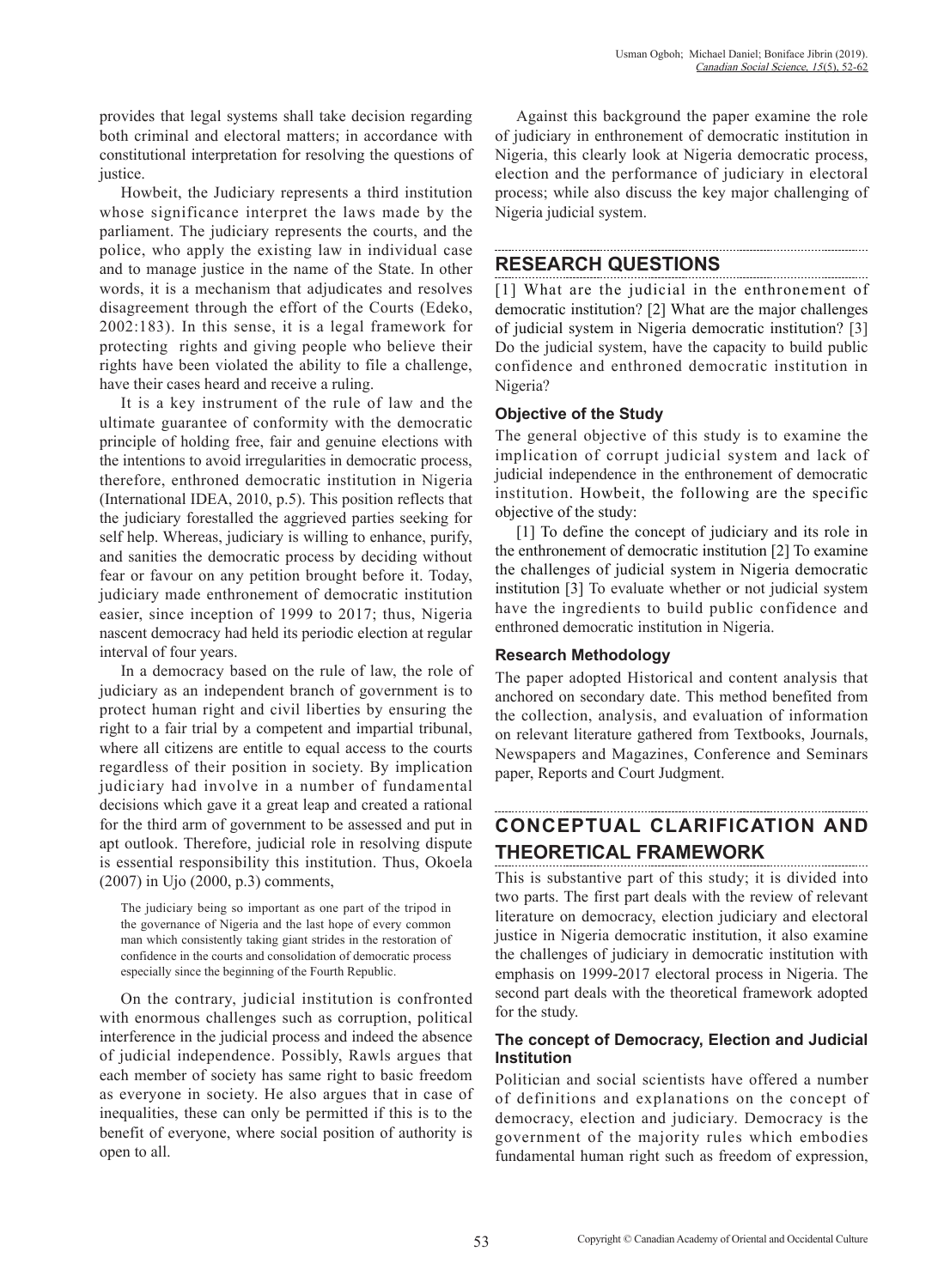provides that legal systems shall take decision regarding both criminal and electoral matters; in accordance with constitutional interpretation for resolving the questions of justice.

Howbeit, the Judiciary represents a third institution whose significance interpret the laws made by the parliament. The judiciary represents the courts, and the police, who apply the existing law in individual case and to manage justice in the name of the State. In other words, it is a mechanism that adjudicates and resolves disagreement through the effort of the Courts (Edeko, 2002:183). In this sense, it is a legal framework for protecting rights and giving people who believe their rights have been violated the ability to file a challenge, have their cases heard and receive a ruling.

It is a key instrument of the rule of law and the ultimate guarantee of conformity with the democratic principle of holding free, fair and genuine elections with the intentions to avoid irregularities in democratic process, therefore, enthroned democratic institution in Nigeria (International IDEA, 2010, p.5). This position reflects that the judiciary forestalled the aggrieved parties seeking for self help. Whereas, judiciary is willing to enhance, purify, and sanities the democratic process by deciding without fear or favour on any petition brought before it. Today, judiciary made enthronement of democratic institution easier, since inception of 1999 to 2017; thus, Nigeria nascent democracy had held its periodic election at regular interval of four years.

In a democracy based on the rule of law, the role of judiciary as an independent branch of government is to protect human right and civil liberties by ensuring the right to a fair trial by a competent and impartial tribunal, where all citizens are entitle to equal access to the courts regardless of their position in society. By implication judiciary had involve in a number of fundamental decisions which gave it a great leap and created a rational for the third arm of government to be assessed and put in apt outlook. Therefore, judicial role in resolving dispute is essential responsibility this institution. Thus, Okoela (2007) in Ujo (2000, p.3) comments,

The judiciary being so important as one part of the tripod in the governance of Nigeria and the last hope of every common man which consistently taking giant strides in the restoration of confidence in the courts and consolidation of democratic process especially since the beginning of the Fourth Republic.

On the contrary, judicial institution is confronted with enormous challenges such as corruption, political interference in the judicial process and indeed the absence of judicial independence. Possibly, Rawls argues that each member of society has same right to basic freedom as everyone in society. He also argues that in case of inequalities, these can only be permitted if this is to the benefit of everyone, where social position of authority is open to all.

Against this background the paper examine the role of judiciary in enthronement of democratic institution in Nigeria, this clearly look at Nigeria democratic process, election and the performance of judiciary in electoral process; while also discuss the key major challenging of Nigeria judicial system.

### **RESEARCH QUESTIONS**

[1] What are the judicial in the enthronement of democratic institution? [2] What are the major challenges of judicial system in Nigeria democratic institution? [3] Do the judicial system, have the capacity to build public confidence and enthroned democratic institution in Nigeria?

#### **Objective of the Study**

The general objective of this study is to examine the implication of corrupt judicial system and lack of judicial independence in the enthronement of democratic institution. Howbeit, the following are the specific objective of the study:

[1] To define the concept of judiciary and its role in the enthronement of democratic institution [2] To examine the challenges of judicial system in Nigeria democratic institution [3] To evaluate whether or not judicial system have the ingredients to build public confidence and enthroned democratic institution in Nigeria.

#### **Research Methodology**

The paper adopted Historical and content analysis that anchored on secondary date. This method benefited from the collection, analysis, and evaluation of information on relevant literature gathered from Textbooks, Journals, Newspapers and Magazines, Conference and Seminars paper, Reports and Court Judgment.

# **CONCEPTUAL CLARIFICATION AND THEORETICAL FRAMEWORK**

This is substantive part of this study; it is divided into two parts. The first part deals with the review of relevant literature on democracy, election judiciary and electoral justice in Nigeria democratic institution, it also examine the challenges of judiciary in democratic institution with emphasis on 1999-2017 electoral process in Nigeria. The second part deals with the theoretical framework adopted for the study.

#### **The concept of Democracy, Election and Judicial Institution**

Politician and social scientists have offered a number of definitions and explanations on the concept of democracy, election and judiciary. Democracy is the government of the majority rules which embodies fundamental human right such as freedom of expression,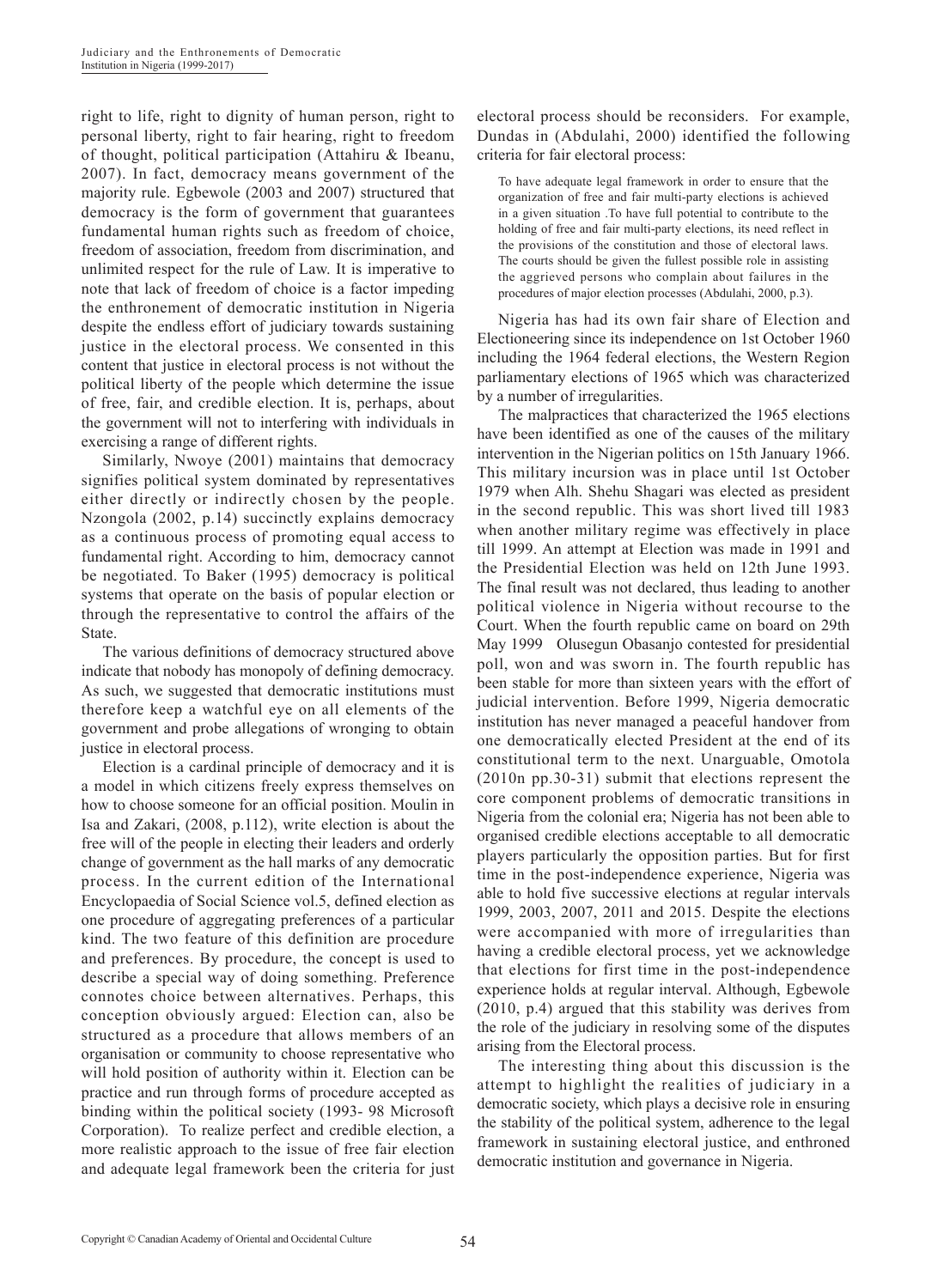right to life, right to dignity of human person, right to personal liberty, right to fair hearing, right to freedom of thought, political participation (Attahiru & Ibeanu, 2007). In fact, democracy means government of the majority rule. Egbewole (2003 and 2007) structured that democracy is the form of government that guarantees fundamental human rights such as freedom of choice, freedom of association, freedom from discrimination, and unlimited respect for the rule of Law. It is imperative to note that lack of freedom of choice is a factor impeding the enthronement of democratic institution in Nigeria despite the endless effort of judiciary towards sustaining justice in the electoral process. We consented in this content that justice in electoral process is not without the political liberty of the people which determine the issue of free, fair, and credible election. It is, perhaps, about the government will not to interfering with individuals in exercising a range of different rights.

Similarly, Nwoye (2001) maintains that democracy signifies political system dominated by representatives either directly or indirectly chosen by the people. Nzongola (2002, p.14) succinctly explains democracy as a continuous process of promoting equal access to fundamental right. According to him, democracy cannot be negotiated. To Baker (1995) democracy is political systems that operate on the basis of popular election or through the representative to control the affairs of the State.

The various definitions of democracy structured above indicate that nobody has monopoly of defining democracy. As such, we suggested that democratic institutions must therefore keep a watchful eye on all elements of the government and probe allegations of wronging to obtain justice in electoral process.

Election is a cardinal principle of democracy and it is a model in which citizens freely express themselves on how to choose someone for an official position. Moulin in Isa and Zakari, (2008, p.112), write election is about the free will of the people in electing their leaders and orderly change of government as the hall marks of any democratic process. In the current edition of the International Encyclopaedia of Social Science vol.5, defined election as one procedure of aggregating preferences of a particular kind. The two feature of this definition are procedure and preferences. By procedure, the concept is used to describe a special way of doing something. Preference connotes choice between alternatives. Perhaps, this conception obviously argued: Election can, also be structured as a procedure that allows members of an organisation or community to choose representative who will hold position of authority within it. Election can be practice and run through forms of procedure accepted as binding within the political society (1993- 98 Microsoft Corporation). To realize perfect and credible election, a more realistic approach to the issue of free fair election and adequate legal framework been the criteria for just electoral process should be reconsiders. For example, Dundas in (Abdulahi, 2000) identified the following criteria for fair electoral process:

To have adequate legal framework in order to ensure that the organization of free and fair multi-party elections is achieved in a given situation .To have full potential to contribute to the holding of free and fair multi-party elections, its need reflect in the provisions of the constitution and those of electoral laws. The courts should be given the fullest possible role in assisting the aggrieved persons who complain about failures in the procedures of major election processes (Abdulahi, 2000, p.3).

Nigeria has had its own fair share of Election and Electioneering since its independence on 1st October 1960 including the 1964 federal elections, the Western Region parliamentary elections of 1965 which was characterized by a number of irregularities.

The malpractices that characterized the 1965 elections have been identified as one of the causes of the military intervention in the Nigerian politics on 15th January 1966. This military incursion was in place until 1st October 1979 when Alh. Shehu Shagari was elected as president in the second republic. This was short lived till 1983 when another military regime was effectively in place till 1999. An attempt at Election was made in 1991 and the Presidential Election was held on 12th June 1993. The final result was not declared, thus leading to another political violence in Nigeria without recourse to the Court. When the fourth republic came on board on 29th May 1999 Olusegun Obasanjo contested for presidential poll, won and was sworn in. The fourth republic has been stable for more than sixteen years with the effort of judicial intervention. Before 1999, Nigeria democratic institution has never managed a peaceful handover from one democratically elected President at the end of its constitutional term to the next. Unarguable, Omotola (2010n pp.30-31) submit that elections represent the core component problems of democratic transitions in Nigeria from the colonial era; Nigeria has not been able to organised credible elections acceptable to all democratic players particularly the opposition parties. But for first time in the post-independence experience, Nigeria was able to hold five successive elections at regular intervals 1999, 2003, 2007, 2011 and 2015. Despite the elections were accompanied with more of irregularities than having a credible electoral process, yet we acknowledge that elections for first time in the post-independence experience holds at regular interval. Although, Egbewole (2010, p.4) argued that this stability was derives from the role of the judiciary in resolving some of the disputes arising from the Electoral process.

The interesting thing about this discussion is the attempt to highlight the realities of judiciary in a democratic society, which plays a decisive role in ensuring the stability of the political system, adherence to the legal framework in sustaining electoral justice, and enthroned democratic institution and governance in Nigeria.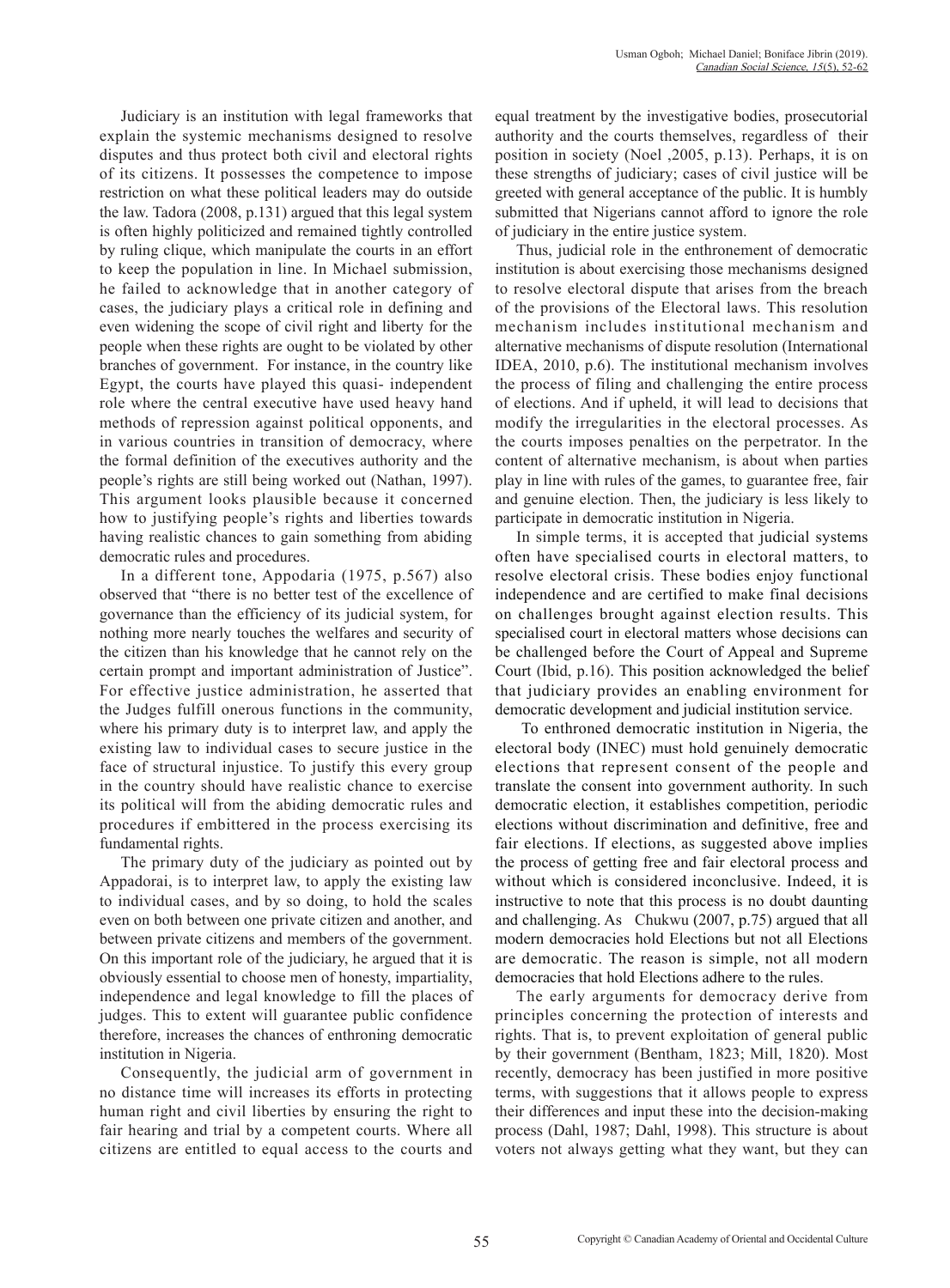Judiciary is an institution with legal frameworks that explain the systemic mechanisms designed to resolve disputes and thus protect both civil and electoral rights of its citizens. It possesses the competence to impose restriction on what these political leaders may do outside the law. Tadora (2008, p.131) argued that this legal system is often highly politicized and remained tightly controlled by ruling clique, which manipulate the courts in an effort to keep the population in line. In Michael submission, he failed to acknowledge that in another category of cases, the judiciary plays a critical role in defining and even widening the scope of civil right and liberty for the people when these rights are ought to be violated by other branches of government. For instance, in the country like Egypt, the courts have played this quasi- independent role where the central executive have used heavy hand methods of repression against political opponents, and in various countries in transition of democracy, where the formal definition of the executives authority and the people's rights are still being worked out (Nathan, 1997). This argument looks plausible because it concerned how to justifying people's rights and liberties towards having realistic chances to gain something from abiding democratic rules and procedures.

In a different tone, Appodaria (1975, p.567) also observed that "there is no better test of the excellence of governance than the efficiency of its judicial system, for nothing more nearly touches the welfares and security of the citizen than his knowledge that he cannot rely on the certain prompt and important administration of Justice". For effective justice administration, he asserted that the Judges fulfill onerous functions in the community, where his primary duty is to interpret law, and apply the existing law to individual cases to secure justice in the face of structural injustice. To justify this every group in the country should have realistic chance to exercise its political will from the abiding democratic rules and procedures if embittered in the process exercising its fundamental rights.

The primary duty of the judiciary as pointed out by Appadorai, is to interpret law, to apply the existing law to individual cases, and by so doing, to hold the scales even on both between one private citizen and another, and between private citizens and members of the government. On this important role of the judiciary, he argued that it is obviously essential to choose men of honesty, impartiality, independence and legal knowledge to fill the places of judges. This to extent will guarantee public confidence therefore, increases the chances of enthroning democratic institution in Nigeria.

Consequently, the judicial arm of government in no distance time will increases its efforts in protecting human right and civil liberties by ensuring the right to fair hearing and trial by a competent courts. Where all citizens are entitled to equal access to the courts and equal treatment by the investigative bodies, prosecutorial authority and the courts themselves, regardless of their position in society (Noel ,2005, p.13). Perhaps, it is on these strengths of judiciary; cases of civil justice will be greeted with general acceptance of the public. It is humbly submitted that Nigerians cannot afford to ignore the role of judiciary in the entire justice system.

Thus, judicial role in the enthronement of democratic institution is about exercising those mechanisms designed to resolve electoral dispute that arises from the breach of the provisions of the Electoral laws. This resolution mechanism includes institutional mechanism and alternative mechanisms of dispute resolution (International IDEA, 2010, p.6). The institutional mechanism involves the process of filing and challenging the entire process of elections. And if upheld, it will lead to decisions that modify the irregularities in the electoral processes. As the courts imposes penalties on the perpetrator. In the content of alternative mechanism, is about when parties play in line with rules of the games, to guarantee free, fair and genuine election. Then, the judiciary is less likely to participate in democratic institution in Nigeria.

In simple terms, it is accepted that judicial systems often have specialised courts in electoral matters, to resolve electoral crisis. These bodies enjoy functional independence and are certified to make final decisions on challenges brought against election results. This specialised court in electoral matters whose decisions can be challenged before the Court of Appeal and Supreme Court (Ibid, p.16). This position acknowledged the belief that judiciary provides an enabling environment for democratic development and judicial institution service.

 To enthroned democratic institution in Nigeria, the electoral body (INEC) must hold genuinely democratic elections that represent consent of the people and translate the consent into government authority. In such democratic election, it establishes competition, periodic elections without discrimination and definitive, free and fair elections. If elections, as suggested above implies the process of getting free and fair electoral process and without which is considered inconclusive. Indeed, it is instructive to note that this process is no doubt daunting and challenging. As Chukwu (2007, p.75) argued that all modern democracies hold Elections but not all Elections are democratic. The reason is simple, not all modern democracies that hold Elections adhere to the rules.

The early arguments for democracy derive from principles concerning the protection of interests and rights. That is, to prevent exploitation of general public by their government (Bentham, 1823; Mill, 1820). Most recently, democracy has been justified in more positive terms, with suggestions that it allows people to express their differences and input these into the decision-making process (Dahl, 1987; Dahl, 1998). This structure is about voters not always getting what they want, but they can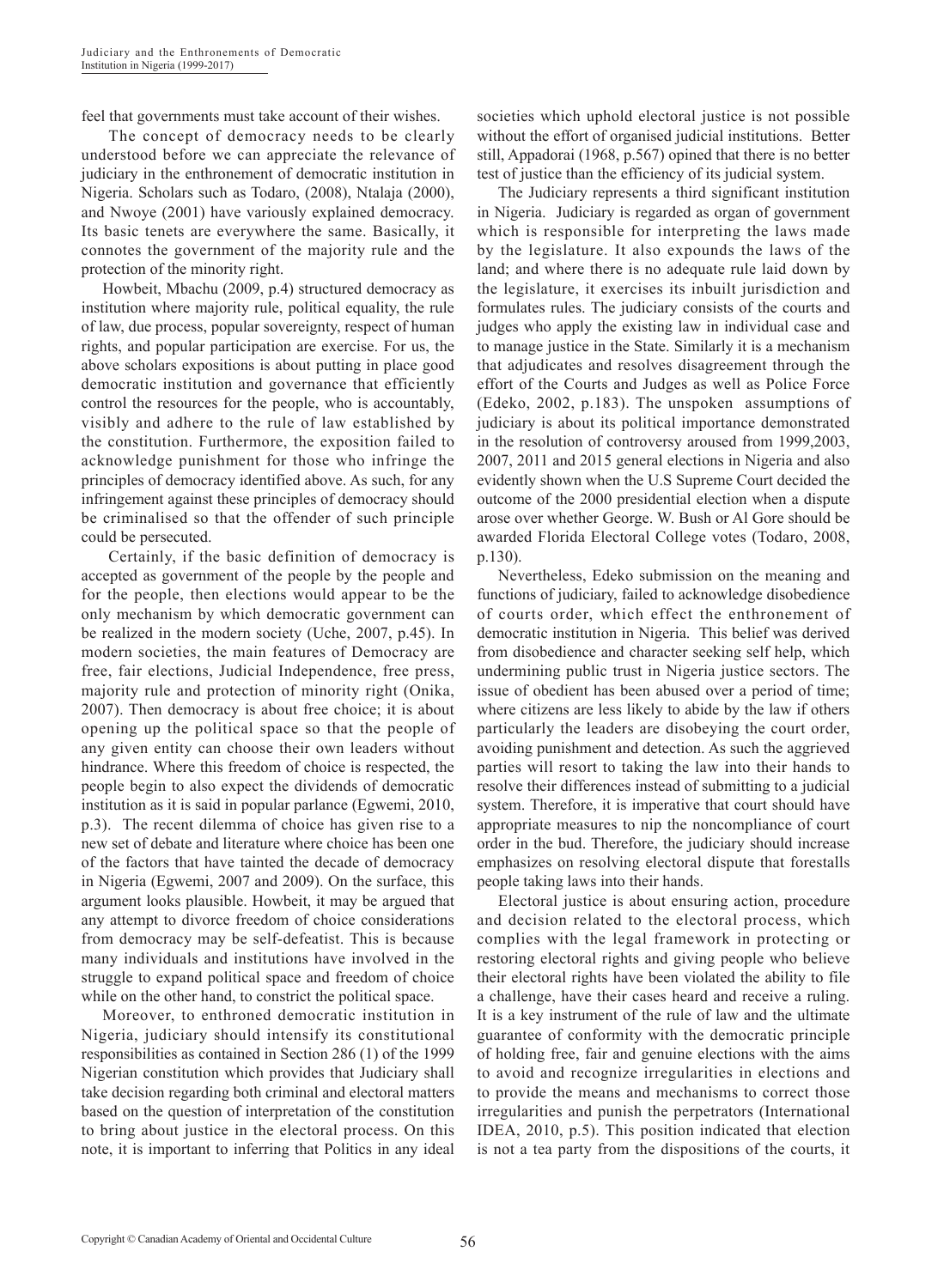feel that governments must take account of their wishes.

 The concept of democracy needs to be clearly understood before we can appreciate the relevance of judiciary in the enthronement of democratic institution in Nigeria. Scholars such as Todaro, (2008), Ntalaja (2000), and Nwoye (2001) have variously explained democracy. Its basic tenets are everywhere the same. Basically, it connotes the government of the majority rule and the protection of the minority right.

Howbeit, Mbachu (2009, p.4) structured democracy as institution where majority rule, political equality, the rule of law, due process, popular sovereignty, respect of human rights, and popular participation are exercise. For us, the above scholars expositions is about putting in place good democratic institution and governance that efficiently control the resources for the people, who is accountably, visibly and adhere to the rule of law established by the constitution. Furthermore, the exposition failed to acknowledge punishment for those who infringe the principles of democracy identified above. As such, for any infringement against these principles of democracy should be criminalised so that the offender of such principle could be persecuted.

 Certainly, if the basic definition of democracy is accepted as government of the people by the people and for the people, then elections would appear to be the only mechanism by which democratic government can be realized in the modern society (Uche, 2007, p.45). In modern societies, the main features of Democracy are free, fair elections, Judicial Independence, free press, majority rule and protection of minority right (Onika, 2007). Then democracy is about free choice; it is about opening up the political space so that the people of any given entity can choose their own leaders without hindrance. Where this freedom of choice is respected, the people begin to also expect the dividends of democratic institution as it is said in popular parlance (Egwemi, 2010, p.3). The recent dilemma of choice has given rise to a new set of debate and literature where choice has been one of the factors that have tainted the decade of democracy in Nigeria (Egwemi, 2007 and 2009). On the surface, this argument looks plausible. Howbeit, it may be argued that any attempt to divorce freedom of choice considerations from democracy may be self-defeatist. This is because many individuals and institutions have involved in the struggle to expand political space and freedom of choice while on the other hand, to constrict the political space.

Moreover, to enthroned democratic institution in Nigeria, judiciary should intensify its constitutional responsibilities as contained in Section 286 (1) of the 1999 Nigerian constitution which provides that Judiciary shall take decision regarding both criminal and electoral matters based on the question of interpretation of the constitution to bring about justice in the electoral process. On this note, it is important to inferring that Politics in any ideal societies which uphold electoral justice is not possible without the effort of organised judicial institutions. Better still, Appadorai (1968, p.567) opined that there is no better test of justice than the efficiency of its judicial system.

The Judiciary represents a third significant institution in Nigeria. Judiciary is regarded as organ of government which is responsible for interpreting the laws made by the legislature. It also expounds the laws of the land; and where there is no adequate rule laid down by the legislature, it exercises its inbuilt jurisdiction and formulates rules. The judiciary consists of the courts and judges who apply the existing law in individual case and to manage justice in the State. Similarly it is a mechanism that adjudicates and resolves disagreement through the effort of the Courts and Judges as well as Police Force (Edeko, 2002, p.183). The unspoken assumptions of judiciary is about its political importance demonstrated in the resolution of controversy aroused from 1999,2003, 2007, 2011 and 2015 general elections in Nigeria and also evidently shown when the U.S Supreme Court decided the outcome of the 2000 presidential election when a dispute arose over whether George. W. Bush or Al Gore should be awarded Florida Electoral College votes (Todaro, 2008, p.130).

Nevertheless, Edeko submission on the meaning and functions of judiciary, failed to acknowledge disobedience of courts order, which effect the enthronement of democratic institution in Nigeria. This belief was derived from disobedience and character seeking self help, which undermining public trust in Nigeria justice sectors. The issue of obedient has been abused over a period of time; where citizens are less likely to abide by the law if others particularly the leaders are disobeying the court order, avoiding punishment and detection. As such the aggrieved parties will resort to taking the law into their hands to resolve their differences instead of submitting to a judicial system. Therefore, it is imperative that court should have appropriate measures to nip the noncompliance of court order in the bud. Therefore, the judiciary should increase emphasizes on resolving electoral dispute that forestalls people taking laws into their hands.

Electoral justice is about ensuring action, procedure and decision related to the electoral process, which complies with the legal framework in protecting or restoring electoral rights and giving people who believe their electoral rights have been violated the ability to file a challenge, have their cases heard and receive a ruling. It is a key instrument of the rule of law and the ultimate guarantee of conformity with the democratic principle of holding free, fair and genuine elections with the aims to avoid and recognize irregularities in elections and to provide the means and mechanisms to correct those irregularities and punish the perpetrators (International IDEA, 2010, p.5). This position indicated that election is not a tea party from the dispositions of the courts, it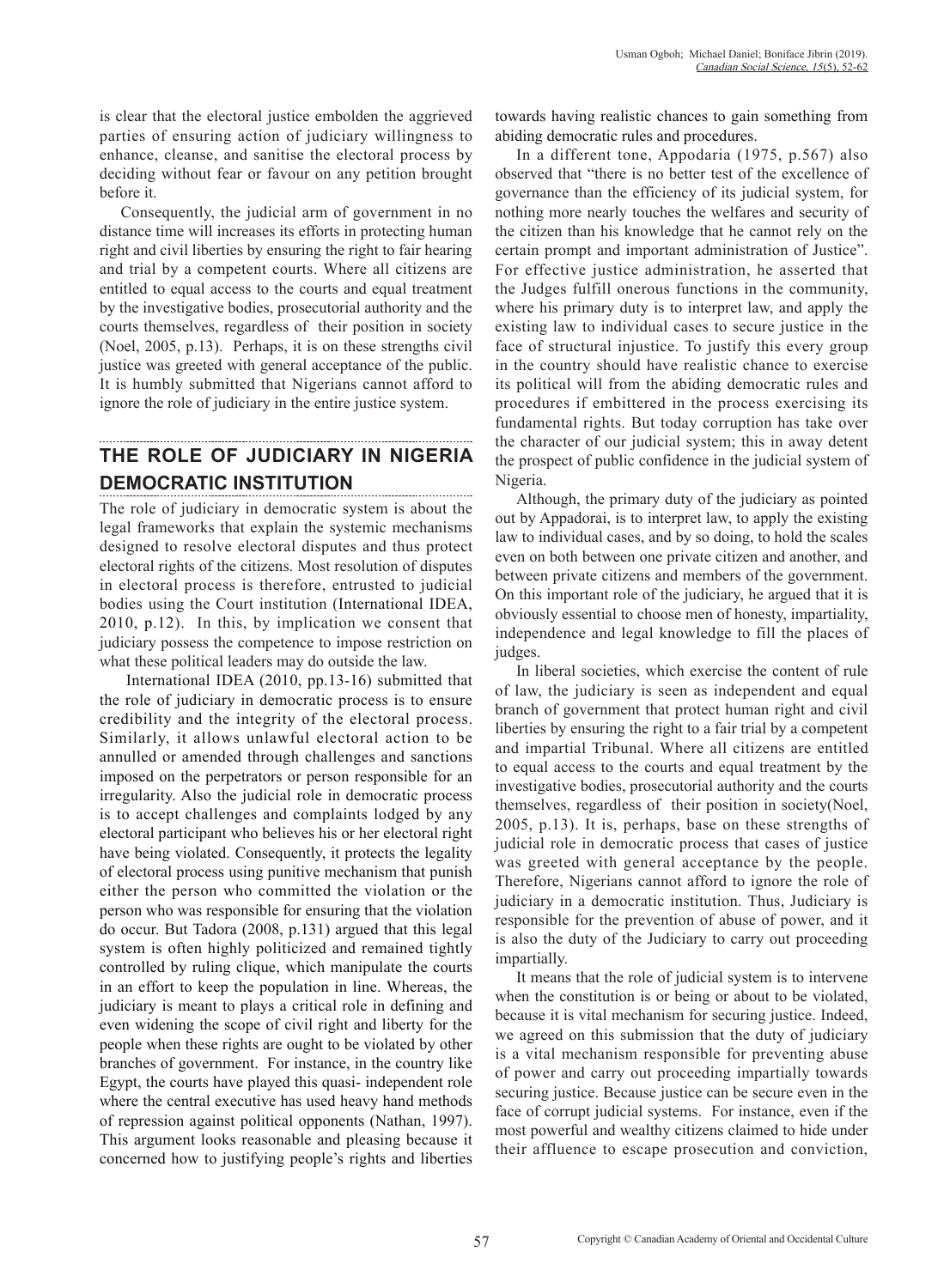is clear that the electoral justice embolden the aggrieved parties of ensuring action of judiciary willingness to enhance, cleanse, and sanitise the electoral process by deciding without fear or favour on any petition brought before it.

Consequently, the judicial arm of government in no distance time will increases its efforts in protecting human right and civil liberties by ensuring the right to fair hearing and trial by a competent courts. Where all citizens are entitled to equal access to the courts and equal treatment by the investigative bodies, prosecutorial authority and the courts themselves, regardless of their position in society (Noel, 2005, p.13). Perhaps, it is on these strengths civil justice was greeted with general acceptance of the public. It is humbly submitted that Nigerians cannot afford to ignore the role of judiciary in the entire justice system.

# **THE ROLE OF JUDICIARY IN NIGERIA DEMOCRATIC INSTITUTION**

The role of judiciary in democratic system is about the legal frameworks that explain the systemic mechanisms designed to resolve electoral disputes and thus protect electoral rights of the citizens. Most resolution of disputes in electoral process is therefore, entrusted to judicial bodies using the Court institution (International IDEA, 2010, p.12). In this, by implication we consent that judiciary possess the competence to impose restriction on what these political leaders may do outside the law.

International IDEA (2010, pp.13-16) submitted that the role of judiciary in democratic process is to ensure credibility and the integrity of the electoral process. Similarly, it allows unlawful electoral action to be annulled or amended through challenges and sanctions imposed on the perpetrators or person responsible for an irregularity. Also the judicial role in democratic process is to accept challenges and complaints lodged by any electoral participant who believes his or her electoral right have being violated. Consequently, it protects the legality of electoral process using punitive mechanism that punish either the person who committed the violation or the person who was responsible for ensuring that the violation do occur. But Tadora (2008, p.131) argued that this legal system is often highly politicized and remained tightly controlled by ruling clique, which manipulate the courts in an effort to keep the population in line. Whereas, the judiciary is meant to plays a critical role in defining and even widening the scope of civil right and liberty for the people when these rights are ought to be violated by other branches of government. For instance, in the country like Egypt, the courts have played this quasi- independent role where the central executive has used heavy hand methods of repression against political opponents (Nathan, 1997). This argument looks reasonable and pleasing because it concerned how to justifying people's rights and liberties

towards having realistic chances to gain something from abiding democratic rules and procedures.

In a different tone, Appodaria (1975, p.567) also observed that "there is no better test of the excellence of governance than the efficiency of its judicial system, for nothing more nearly touches the welfares and security of the citizen than his knowledge that he cannot rely on the certain prompt and important administration of Justice". For effective justice administration, he asserted that the Judges fulfill onerous functions in the community, where his primary duty is to interpret law, and apply the existing law to individual cases to secure justice in the face of structural injustice. To justify this every group in the country should have realistic chance to exercise its political will from the abiding democratic rules and procedures if embittered in the process exercising its fundamental rights. But today corruption has take over the character of our judicial system; this in away detent the prospect of public confidence in the judicial system of Nigeria.

Although, the primary duty of the judiciary as pointed out by Appadorai, is to interpret law, to apply the existing law to individual cases, and by so doing, to hold the scales even on both between one private citizen and another, and between private citizens and members of the government. On this important role of the judiciary, he argued that it is obviously essential to choose men of honesty, impartiality, independence and legal knowledge to fill the places of judges.

In liberal societies, which exercise the content of rule of law, the judiciary is seen as independent and equal branch of government that protect human right and civil liberties by ensuring the right to a fair trial by a competent and impartial Tribunal. Where all citizens are entitled to equal access to the courts and equal treatment by the investigative bodies, prosecutorial authority and the courts themselves, regardless of their position in society(Noel, 2005, p.13). It is, perhaps, base on these strengths of judicial role in democratic process that cases of justice was greeted with general acceptance by the people. Therefore, Nigerians cannot afford to ignore the role of judiciary in a democratic institution. Thus, Judiciary is responsible for the prevention of abuse of power, and it is also the duty of the Judiciary to carry out proceeding impartially.

It means that the role of judicial system is to intervene when the constitution is or being or about to be violated, because it is vital mechanism for securing justice. Indeed, we agreed on this submission that the duty of judiciary is a vital mechanism responsible for preventing abuse of power and carry out proceeding impartially towards securing justice. Because justice can be secure even in the face of corrupt judicial systems. For instance, even if the most powerful and wealthy citizens claimed to hide under their affluence to escape prosecution and conviction,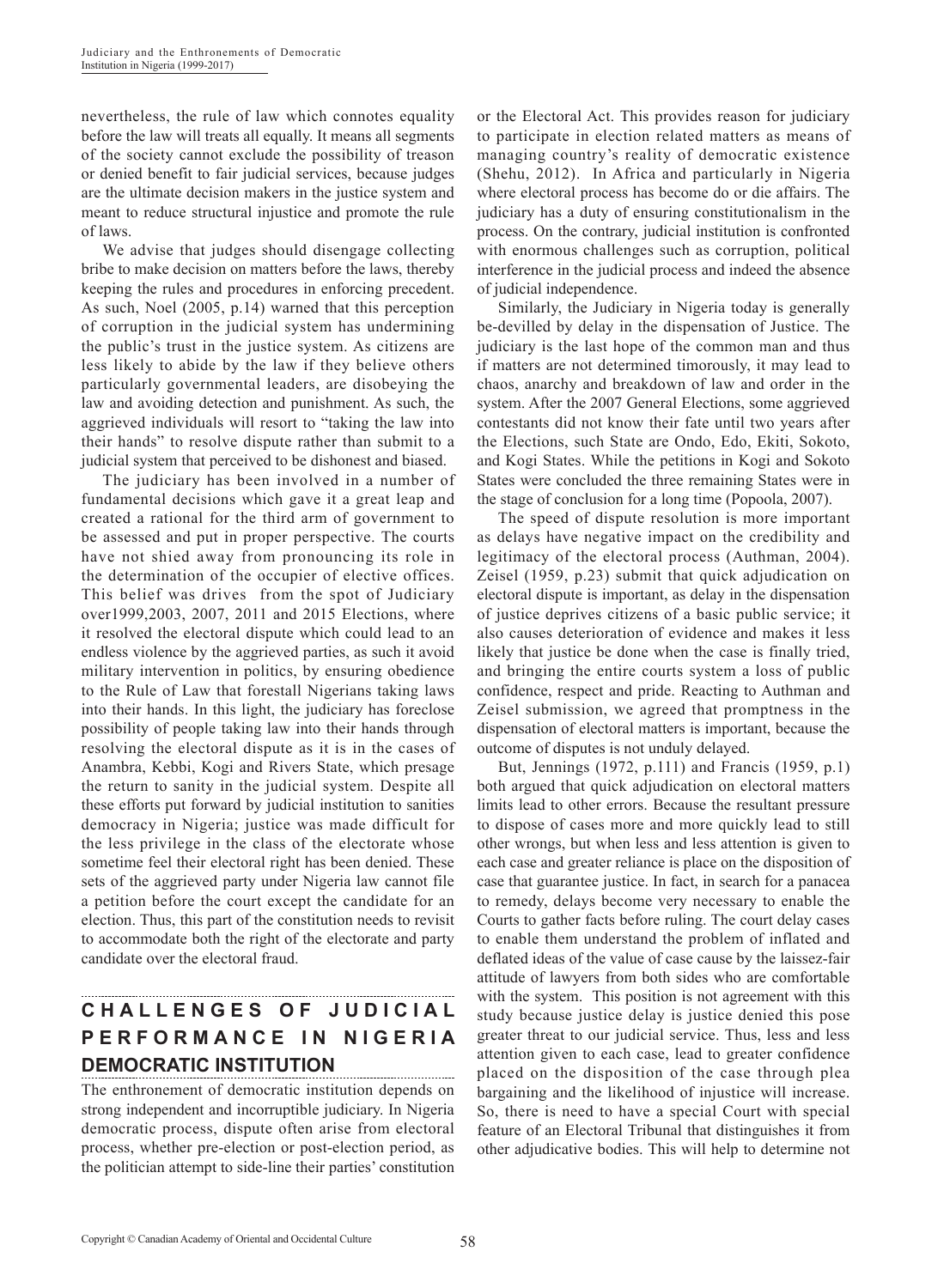nevertheless, the rule of law which connotes equality before the law will treats all equally. It means all segments of the society cannot exclude the possibility of treason or denied benefit to fair judicial services, because judges are the ultimate decision makers in the justice system and meant to reduce structural injustice and promote the rule of laws.

We advise that judges should disengage collecting bribe to make decision on matters before the laws, thereby keeping the rules and procedures in enforcing precedent. As such, Noel (2005, p.14) warned that this perception of corruption in the judicial system has undermining the public's trust in the justice system. As citizens are less likely to abide by the law if they believe others particularly governmental leaders, are disobeying the law and avoiding detection and punishment. As such, the aggrieved individuals will resort to "taking the law into their hands" to resolve dispute rather than submit to a judicial system that perceived to be dishonest and biased.

The judiciary has been involved in a number of fundamental decisions which gave it a great leap and created a rational for the third arm of government to be assessed and put in proper perspective. The courts have not shied away from pronouncing its role in the determination of the occupier of elective offices. This belief was drives from the spot of Judiciary over1999,2003, 2007, 2011 and 2015 Elections, where it resolved the electoral dispute which could lead to an endless violence by the aggrieved parties, as such it avoid military intervention in politics, by ensuring obedience to the Rule of Law that forestall Nigerians taking laws into their hands. In this light, the judiciary has foreclose possibility of people taking law into their hands through resolving the electoral dispute as it is in the cases of Anambra, Kebbi, Kogi and Rivers State, which presage the return to sanity in the judicial system. Despite all these efforts put forward by judicial institution to sanities democracy in Nigeria; justice was made difficult for the less privilege in the class of the electorate whose sometime feel their electoral right has been denied. These sets of the aggrieved party under Nigeria law cannot file a petition before the court except the candidate for an election. Thus, this part of the constitution needs to revisit to accommodate both the right of the electorate and party candidate over the electoral fraud.

# **C H A L L E N G E S O F J U D I C I A L P E R F O R M A N C E I N N I G E R I A DEMOCRATIC INSTITUTION**

The enthronement of democratic institution depends on strong independent and incorruptible judiciary. In Nigeria democratic process, dispute often arise from electoral process, whether pre-election or post-election period, as the politician attempt to side-line their parties' constitution or the Electoral Act. This provides reason for judiciary to participate in election related matters as means of managing country's reality of democratic existence (Shehu, 2012). In Africa and particularly in Nigeria where electoral process has become do or die affairs. The judiciary has a duty of ensuring constitutionalism in the process. On the contrary, judicial institution is confronted with enormous challenges such as corruption, political interference in the judicial process and indeed the absence of judicial independence.

Similarly, the Judiciary in Nigeria today is generally be-devilled by delay in the dispensation of Justice. The judiciary is the last hope of the common man and thus if matters are not determined timorously, it may lead to chaos, anarchy and breakdown of law and order in the system. After the 2007 General Elections, some aggrieved contestants did not know their fate until two years after the Elections, such State are Ondo, Edo, Ekiti, Sokoto, and Kogi States. While the petitions in Kogi and Sokoto States were concluded the three remaining States were in the stage of conclusion for a long time (Popoola, 2007).

The speed of dispute resolution is more important as delays have negative impact on the credibility and legitimacy of the electoral process (Authman, 2004). Zeisel (1959, p.23) submit that quick adjudication on electoral dispute is important, as delay in the dispensation of justice deprives citizens of a basic public service; it also causes deterioration of evidence and makes it less likely that justice be done when the case is finally tried, and bringing the entire courts system a loss of public confidence, respect and pride. Reacting to Authman and Zeisel submission, we agreed that promptness in the dispensation of electoral matters is important, because the outcome of disputes is not unduly delayed.

But, Jennings (1972, p.111) and Francis (1959, p.1) both argued that quick adjudication on electoral matters limits lead to other errors. Because the resultant pressure to dispose of cases more and more quickly lead to still other wrongs, but when less and less attention is given to each case and greater reliance is place on the disposition of case that guarantee justice. In fact, in search for a panacea to remedy, delays become very necessary to enable the Courts to gather facts before ruling. The court delay cases to enable them understand the problem of inflated and deflated ideas of the value of case cause by the laissez-fair attitude of lawyers from both sides who are comfortable with the system. This position is not agreement with this study because justice delay is justice denied this pose greater threat to our judicial service. Thus, less and less attention given to each case, lead to greater confidence placed on the disposition of the case through plea bargaining and the likelihood of injustice will increase. So, there is need to have a special Court with special feature of an Electoral Tribunal that distinguishes it from other adjudicative bodies. This will help to determine not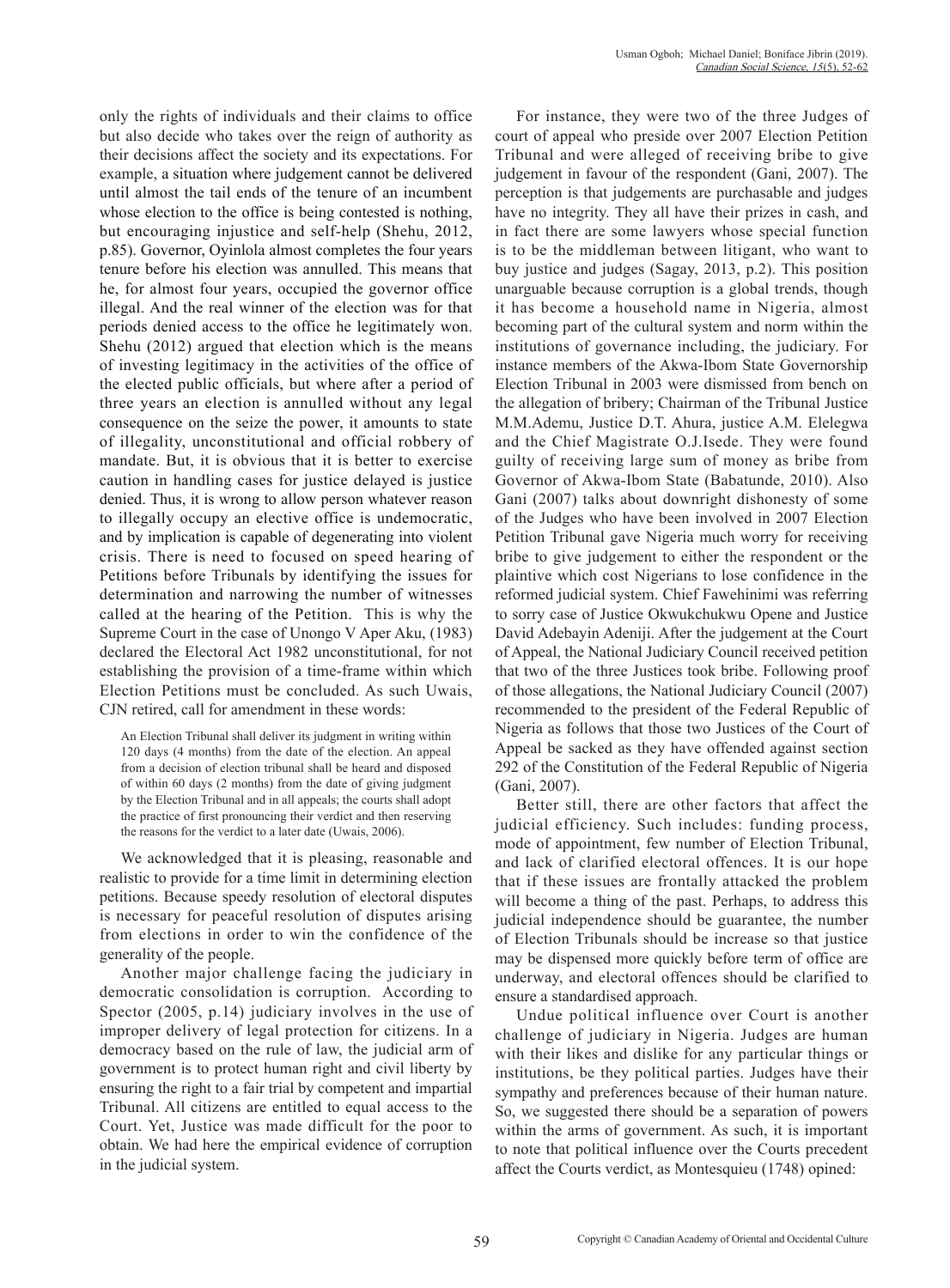only the rights of individuals and their claims to office but also decide who takes over the reign of authority as their decisions affect the society and its expectations. For example, a situation where judgement cannot be delivered until almost the tail ends of the tenure of an incumbent whose election to the office is being contested is nothing, but encouraging injustice and self-help (Shehu, 2012, p.85). Governor, Oyinlola almost completes the four years tenure before his election was annulled. This means that he, for almost four years, occupied the governor office illegal. And the real winner of the election was for that periods denied access to the office he legitimately won. Shehu (2012) argued that election which is the means of investing legitimacy in the activities of the office of the elected public officials, but where after a period of three years an election is annulled without any legal consequence on the seize the power, it amounts to state of illegality, unconstitutional and official robbery of mandate. But, it is obvious that it is better to exercise caution in handling cases for justice delayed is justice denied. Thus, it is wrong to allow person whatever reason to illegally occupy an elective office is undemocratic, and by implication is capable of degenerating into violent crisis. There is need to focused on speed hearing of Petitions before Tribunals by identifying the issues for determination and narrowing the number of witnesses called at the hearing of the Petition. This is why the Supreme Court in the case of Unongo V Aper Aku, (1983) declared the Electoral Act 1982 unconstitutional, for not establishing the provision of a time-frame within which Election Petitions must be concluded. As such Uwais, CJN retired, call for amendment in these words:

An Election Tribunal shall deliver its judgment in writing within 120 days (4 months) from the date of the election. An appeal from a decision of election tribunal shall be heard and disposed of within 60 days (2 months) from the date of giving judgment by the Election Tribunal and in all appeals; the courts shall adopt the practice of first pronouncing their verdict and then reserving the reasons for the verdict to a later date (Uwais, 2006).

We acknowledged that it is pleasing, reasonable and realistic to provide for a time limit in determining election petitions. Because speedy resolution of electoral disputes is necessary for peaceful resolution of disputes arising from elections in order to win the confidence of the generality of the people.

Another major challenge facing the judiciary in democratic consolidation is corruption. According to Spector (2005, p.14) judiciary involves in the use of improper delivery of legal protection for citizens. In a democracy based on the rule of law, the judicial arm of government is to protect human right and civil liberty by ensuring the right to a fair trial by competent and impartial Tribunal. All citizens are entitled to equal access to the Court. Yet, Justice was made difficult for the poor to obtain. We had here the empirical evidence of corruption in the judicial system.

For instance, they were two of the three Judges of court of appeal who preside over 2007 Election Petition Tribunal and were alleged of receiving bribe to give judgement in favour of the respondent (Gani, 2007). The perception is that judgements are purchasable and judges have no integrity. They all have their prizes in cash, and in fact there are some lawyers whose special function is to be the middleman between litigant, who want to buy justice and judges (Sagay, 2013, p.2). This position unarguable because corruption is a global trends, though it has become a household name in Nigeria, almost becoming part of the cultural system and norm within the institutions of governance including, the judiciary. For instance members of the Akwa-Ibom State Governorship Election Tribunal in 2003 were dismissed from bench on the allegation of bribery; Chairman of the Tribunal Justice M.M.Ademu, Justice D.T. Ahura, justice A.M. Elelegwa and the Chief Magistrate O.J.Isede. They were found guilty of receiving large sum of money as bribe from Governor of Akwa-Ibom State (Babatunde, 2010). Also Gani (2007) talks about downright dishonesty of some of the Judges who have been involved in 2007 Election Petition Tribunal gave Nigeria much worry for receiving bribe to give judgement to either the respondent or the plaintive which cost Nigerians to lose confidence in the reformed judicial system. Chief Fawehinimi was referring to sorry case of Justice Okwukchukwu Opene and Justice David Adebayin Adeniji. After the judgement at the Court of Appeal, the National Judiciary Council received petition that two of the three Justices took bribe. Following proof of those allegations, the National Judiciary Council (2007) recommended to the president of the Federal Republic of Nigeria as follows that those two Justices of the Court of Appeal be sacked as they have offended against section 292 of the Constitution of the Federal Republic of Nigeria (Gani, 2007).

Better still, there are other factors that affect the judicial efficiency. Such includes: funding process, mode of appointment, few number of Election Tribunal, and lack of clarified electoral offences. It is our hope that if these issues are frontally attacked the problem will become a thing of the past. Perhaps, to address this judicial independence should be guarantee, the number of Election Tribunals should be increase so that justice may be dispensed more quickly before term of office are underway, and electoral offences should be clarified to ensure a standardised approach.

Undue political influence over Court is another challenge of judiciary in Nigeria. Judges are human with their likes and dislike for any particular things or institutions, be they political parties. Judges have their sympathy and preferences because of their human nature. So, we suggested there should be a separation of powers within the arms of government. As such, it is important to note that political influence over the Courts precedent affect the Courts verdict, as Montesquieu (1748) opined: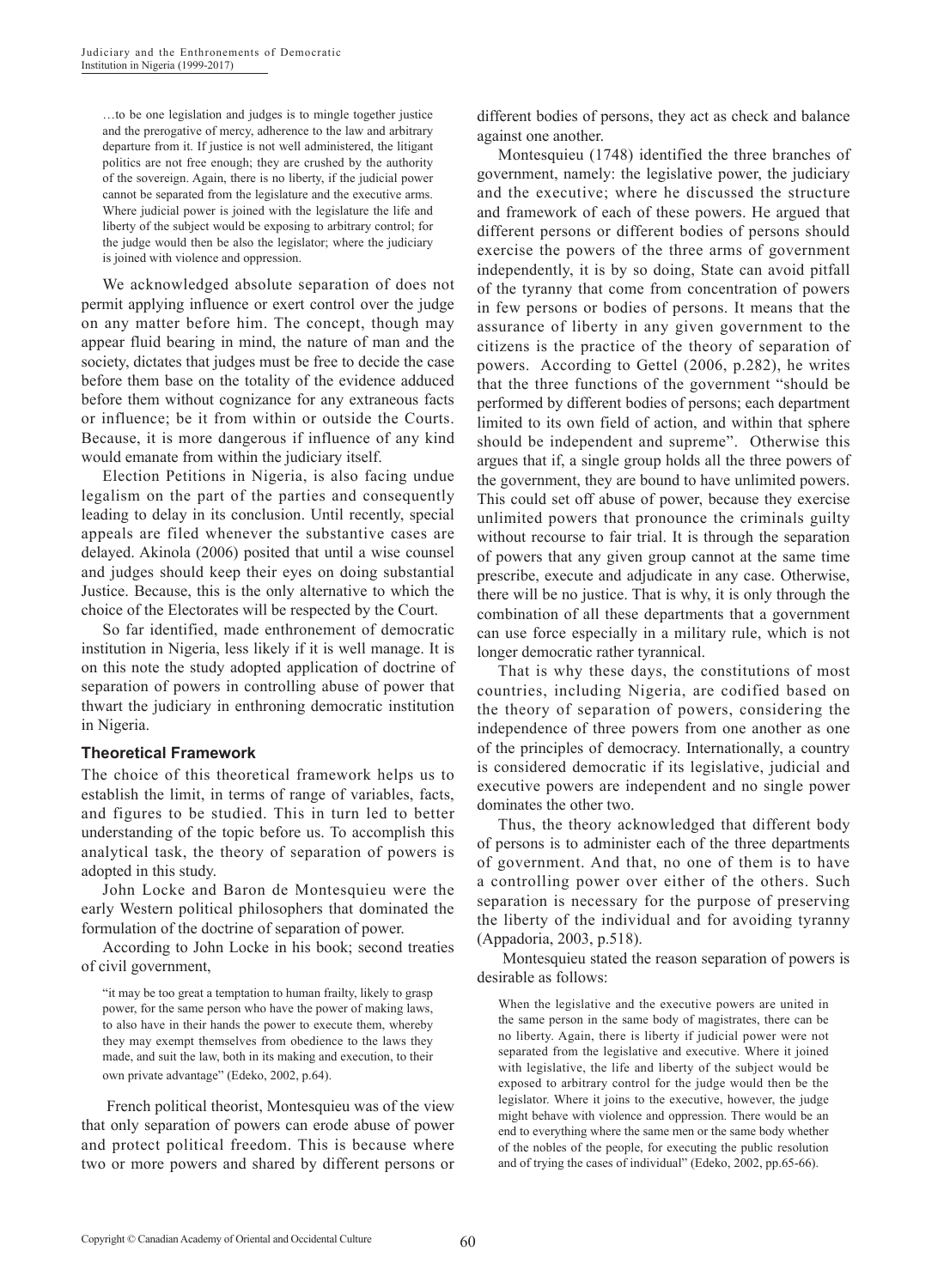…to be one legislation and judges is to mingle together justice and the prerogative of mercy, adherence to the law and arbitrary departure from it. If justice is not well administered, the litigant politics are not free enough; they are crushed by the authority of the sovereign. Again, there is no liberty, if the judicial power cannot be separated from the legislature and the executive arms. Where judicial power is joined with the legislature the life and liberty of the subject would be exposing to arbitrary control; for the judge would then be also the legislator; where the judiciary is joined with violence and oppression.

We acknowledged absolute separation of does not permit applying influence or exert control over the judge on any matter before him. The concept, though may appear fluid bearing in mind, the nature of man and the society, dictates that judges must be free to decide the case before them base on the totality of the evidence adduced before them without cognizance for any extraneous facts or influence; be it from within or outside the Courts. Because, it is more dangerous if influence of any kind would emanate from within the judiciary itself.

Election Petitions in Nigeria, is also facing undue legalism on the part of the parties and consequently leading to delay in its conclusion. Until recently, special appeals are filed whenever the substantive cases are delayed. Akinola (2006) posited that until a wise counsel and judges should keep their eyes on doing substantial Justice. Because, this is the only alternative to which the choice of the Electorates will be respected by the Court.

So far identified, made enthronement of democratic institution in Nigeria, less likely if it is well manage. It is on this note the study adopted application of doctrine of separation of powers in controlling abuse of power that thwart the judiciary in enthroning democratic institution in Nigeria.

#### **Theoretical Framework**

The choice of this theoretical framework helps us to establish the limit, in terms of range of variables, facts, and figures to be studied. This in turn led to better understanding of the topic before us. To accomplish this analytical task, the theory of separation of powers is adopted in this study.

John Locke and Baron de Montesquieu were the early Western political philosophers that dominated the formulation of the doctrine of separation of power.

According to John Locke in his book; second treaties of civil government,

"it may be too great a temptation to human frailty, likely to grasp power, for the same person who have the power of making laws, to also have in their hands the power to execute them, whereby they may exempt themselves from obedience to the laws they made, and suit the law, both in its making and execution, to their own private advantage" (Edeko, 2002, p.64).

 French political theorist, Montesquieu was of the view that only separation of powers can erode abuse of power and protect political freedom. This is because where two or more powers and shared by different persons or

different bodies of persons, they act as check and balance against one another.

Montesquieu (1748) identified the three branches of government, namely: the legislative power, the judiciary and the executive; where he discussed the structure and framework of each of these powers. He argued that different persons or different bodies of persons should exercise the powers of the three arms of government independently, it is by so doing, State can avoid pitfall of the tyranny that come from concentration of powers in few persons or bodies of persons. It means that the assurance of liberty in any given government to the citizens is the practice of the theory of separation of powers. According to Gettel (2006, p.282), he writes that the three functions of the government "should be performed by different bodies of persons; each department limited to its own field of action, and within that sphere should be independent and supreme". Otherwise this argues that if, a single group holds all the three powers of the government, they are bound to have unlimited powers. This could set off abuse of power, because they exercise unlimited powers that pronounce the criminals guilty without recourse to fair trial. It is through the separation of powers that any given group cannot at the same time prescribe, execute and adjudicate in any case. Otherwise, there will be no justice. That is why, it is only through the combination of all these departments that a government can use force especially in a military rule, which is not longer democratic rather tyrannical.

That is why these days, the constitutions of most countries, including Nigeria, are codified based on the theory of separation of powers, considering the independence of three powers from one another as one of the principles of democracy. Internationally, a country is considered democratic if its legislative, judicial and executive powers are independent and no single power dominates the other two.

Thus, the theory acknowledged that different body of persons is to administer each of the three departments of government. And that, no one of them is to have a controlling power over either of the others. Such separation is necessary for the purpose of preserving the liberty of the individual and for avoiding tyranny (Appadoria, 2003, p.518).

 Montesquieu stated the reason separation of powers is desirable as follows:

When the legislative and the executive powers are united in the same person in the same body of magistrates, there can be no liberty. Again, there is liberty if judicial power were not separated from the legislative and executive. Where it joined with legislative, the life and liberty of the subject would be exposed to arbitrary control for the judge would then be the legislator. Where it joins to the executive, however, the judge might behave with violence and oppression. There would be an end to everything where the same men or the same body whether of the nobles of the people, for executing the public resolution and of trying the cases of individual" (Edeko, 2002, pp.65-66).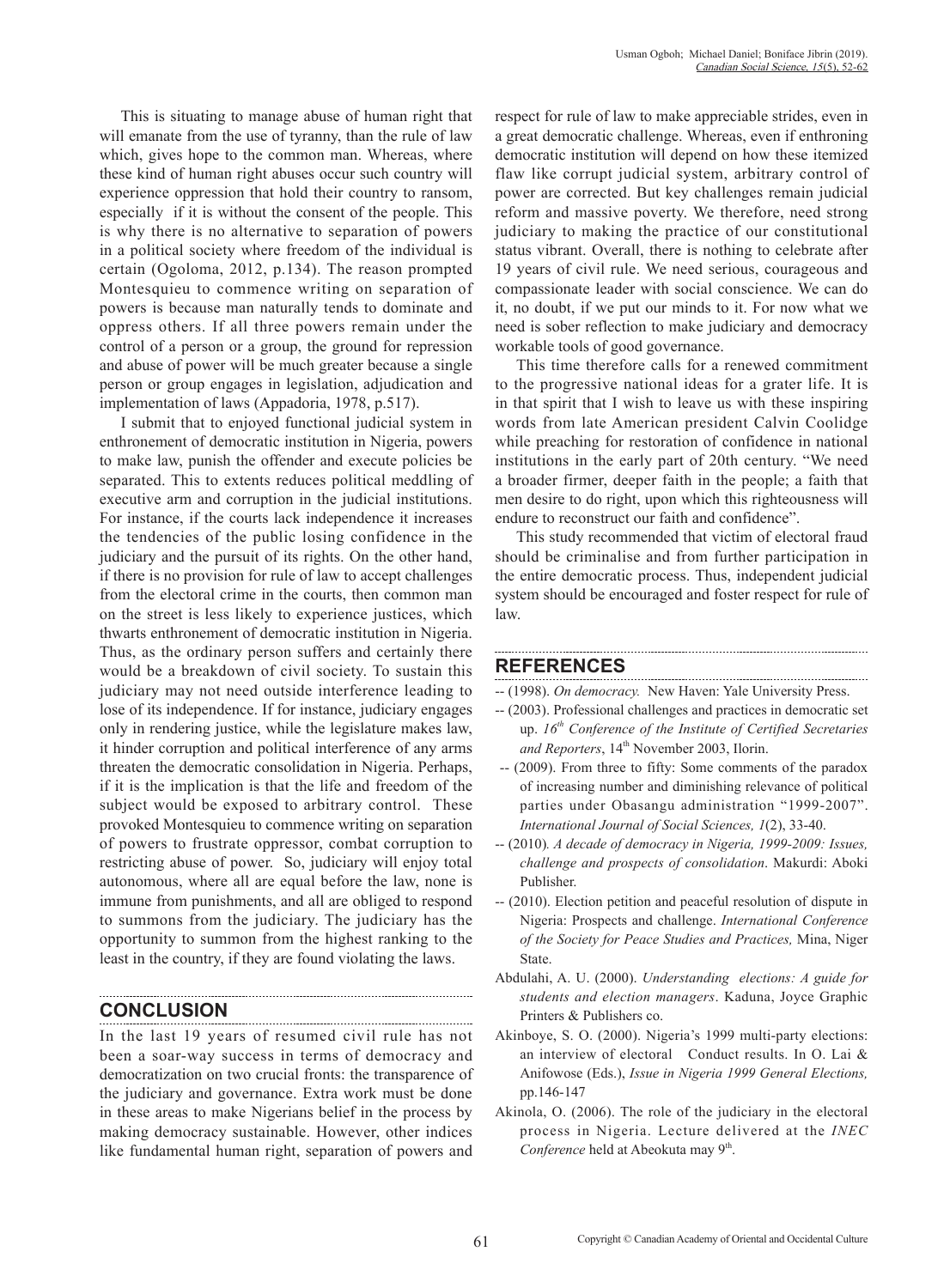This is situating to manage abuse of human right that will emanate from the use of tyranny, than the rule of law which, gives hope to the common man. Whereas, where these kind of human right abuses occur such country will experience oppression that hold their country to ransom, especially if it is without the consent of the people. This is why there is no alternative to separation of powers in a political society where freedom of the individual is certain (Ogoloma, 2012, p.134). The reason prompted Montesquieu to commence writing on separation of powers is because man naturally tends to dominate and oppress others. If all three powers remain under the control of a person or a group, the ground for repression and abuse of power will be much greater because a single person or group engages in legislation, adjudication and implementation of laws (Appadoria, 1978, p.517).

I submit that to enjoyed functional judicial system in enthronement of democratic institution in Nigeria, powers to make law, punish the offender and execute policies be separated. This to extents reduces political meddling of executive arm and corruption in the judicial institutions. For instance, if the courts lack independence it increases the tendencies of the public losing confidence in the judiciary and the pursuit of its rights. On the other hand, if there is no provision for rule of law to accept challenges from the electoral crime in the courts, then common man on the street is less likely to experience justices, which thwarts enthronement of democratic institution in Nigeria. Thus, as the ordinary person suffers and certainly there would be a breakdown of civil society. To sustain this judiciary may not need outside interference leading to lose of its independence. If for instance, judiciary engages only in rendering justice, while the legislature makes law, it hinder corruption and political interference of any arms threaten the democratic consolidation in Nigeria. Perhaps, if it is the implication is that the life and freedom of the subject would be exposed to arbitrary control. These provoked Montesquieu to commence writing on separation of powers to frustrate oppressor, combat corruption to restricting abuse of power. So, judiciary will enjoy total autonomous, where all are equal before the law, none is immune from punishments, and all are obliged to respond to summons from the judiciary. The judiciary has the opportunity to summon from the highest ranking to the least in the country, if they are found violating the laws.

### **CONCLUSION**

In the last 19 years of resumed civil rule has not been a soar-way success in terms of democracy and democratization on two crucial fronts: the transparence of the judiciary and governance. Extra work must be done in these areas to make Nigerians belief in the process by making democracy sustainable. However, other indices like fundamental human right, separation of powers and

respect for rule of law to make appreciable strides, even in a great democratic challenge. Whereas, even if enthroning democratic institution will depend on how these itemized flaw like corrupt judicial system, arbitrary control of power are corrected. But key challenges remain judicial reform and massive poverty. We therefore, need strong judiciary to making the practice of our constitutional status vibrant. Overall, there is nothing to celebrate after 19 years of civil rule. We need serious, courageous and compassionate leader with social conscience. We can do it, no doubt, if we put our minds to it. For now what we need is sober reflection to make judiciary and democracy workable tools of good governance.

This time therefore calls for a renewed commitment to the progressive national ideas for a grater life. It is in that spirit that I wish to leave us with these inspiring words from late American president Calvin Coolidge while preaching for restoration of confidence in national institutions in the early part of 20th century. "We need a broader firmer, deeper faith in the people; a faith that men desire to do right, upon which this righteousness will endure to reconstruct our faith and confidence".

This study recommended that victim of electoral fraud should be criminalise and from further participation in the entire democratic process. Thus, independent judicial system should be encouraged and foster respect for rule of law.

#### **REFERENCES**

- -- (1998). *On democracy.* New Haven: Yale University Press.
- -- (2003). Professional challenges and practices in democratic set up. *16th Conference of the Institute of Certified Secretaries*  and Reporters, 14<sup>th</sup> November 2003, Ilorin.
- -- (2009). From three to fifty: Some comments of the paradox of increasing number and diminishing relevance of political parties under Obasangu administration "1999-2007". *International Journal of Social Sciences, 1*(2), 33-40.
- -- (2010)*. A decade of democracy in Nigeria, 1999-2009: Issues, challenge and prospects of consolidation*. Makurdi: Aboki Publisher.
- -- (2010). Election petition and peaceful resolution of dispute in Nigeria: Prospects and challenge. *International Conference of the Society for Peace Studies and Practices,* Mina, Niger State.
- Abdulahi, A. U. (2000). *Understanding elections: A guide for students and election managers*. Kaduna, Joyce Graphic Printers & Publishers co.
- Akinboye, S. O. (2000). Nigeria's 1999 multi-party elections: an interview of electoral Conduct results. In O. Lai & Anifowose (Eds.), *Issue in Nigeria 1999 General Elections,* pp.146-147
- Akinola, O. (2006). The role of the judiciary in the electoral process in Nigeria. Lecture delivered at the *INEC*  Conference held at Abeokuta may 9<sup>th</sup>.